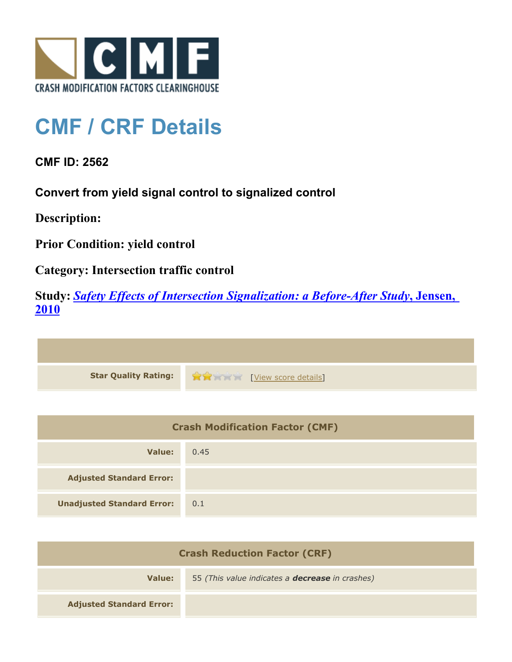

## **CMF / CRF Details**

**CMF ID: 2562**

**Convert from yield signal control to signalized control**

**Description:** 

**Prior Condition: yield control**

**Category: Intersection traffic control**

**Study:** *[Safety Effects of Intersection Signalization: a Before-After Study](http://www.cmfclearinghouse.org/study_detail.cfm?stid=170)***[, Jensen,](http://www.cmfclearinghouse.org/study_detail.cfm?stid=170) [2010](http://www.cmfclearinghouse.org/study_detail.cfm?stid=170)**



| <b>Crash Modification Factor (CMF)</b> |      |
|----------------------------------------|------|
| Value:                                 | 0.45 |
| <b>Adjusted Standard Error:</b>        |      |
| <b>Unadjusted Standard Error:</b>      | 0.1  |

| <b>Crash Reduction Factor (CRF)</b> |                                                        |
|-------------------------------------|--------------------------------------------------------|
| Value:                              | 55 (This value indicates a <b>decrease</b> in crashes) |
| <b>Adjusted Standard Error:</b>     |                                                        |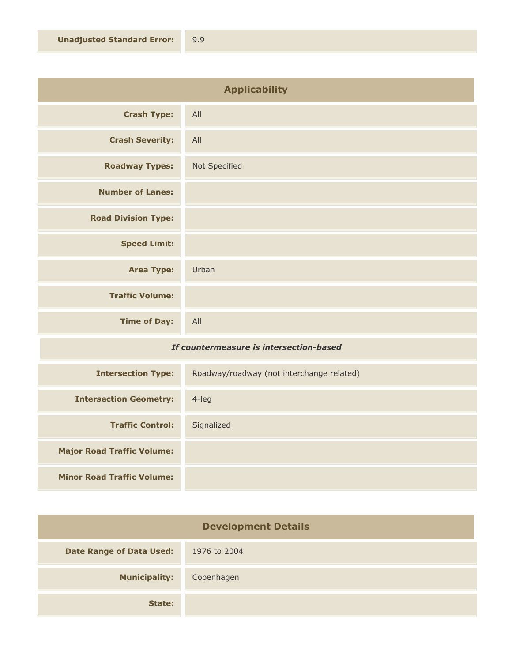| <b>Applicability</b>       |               |
|----------------------------|---------------|
| <b>Crash Type:</b>         | All           |
| <b>Crash Severity:</b>     | All           |
| <b>Roadway Types:</b>      | Not Specified |
| <b>Number of Lanes:</b>    |               |
| <b>Road Division Type:</b> |               |
| <b>Speed Limit:</b>        |               |
| <b>Area Type:</b>          | Urban         |
| <b>Traffic Volume:</b>     |               |
| <b>Time of Day:</b>        | All           |

## *If countermeasure is intersection-based*

| <b>Intersection Type:</b>         | Roadway/roadway (not interchange related) |
|-----------------------------------|-------------------------------------------|
| <b>Intersection Geometry:</b>     | 4-leg                                     |
| <b>Traffic Control:</b>           | Signalized                                |
| <b>Major Road Traffic Volume:</b> |                                           |
| <b>Minor Road Traffic Volume:</b> |                                           |

| <b>Development Details</b>      |              |
|---------------------------------|--------------|
| <b>Date Range of Data Used:</b> | 1976 to 2004 |
| <b>Municipality:</b>            | Copenhagen   |
| State:                          |              |